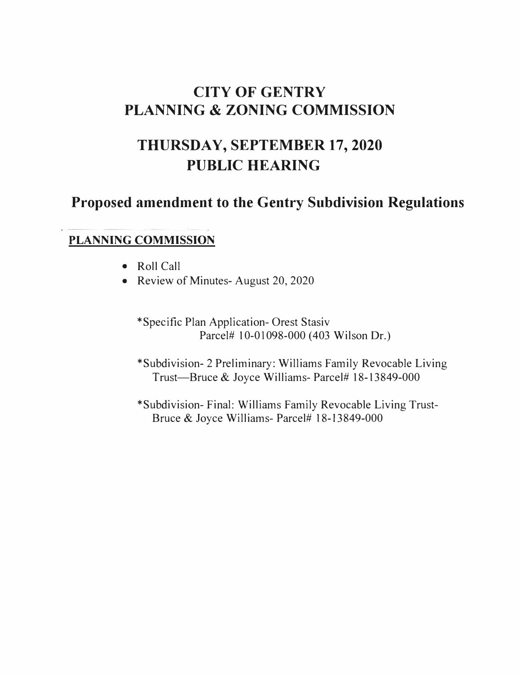# **CITY OF GENTRY PLANNING & ZONING COMMISSION**

# **THURSDAY, SEPTEMBER 17, 2020 PUBLIC HEARING**

# **Proposed amendment to the Gentry Subdivision Regulations**

## **PLANNING COMMISSION**

- Roll Call
- Review of Minutes-August 20, 2020

\*Specific Plan Application- Orest Stasiv Parcel# 10-01098-000 (403 Wilson Dr.)

\*Subdivision- 2 Preliminary: Williams Family Revocable Living Trust-Bruce & Joyce Williams- Parcel# 18-13849-000

\*Subdivision- Final: Williams Family Revocable Living Trust-Bruce & Joyce Williams- Parcel# l 8-13849-000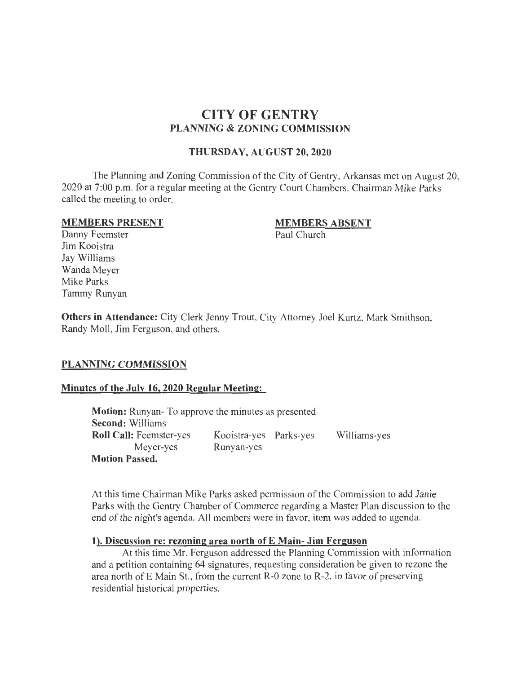## **CITY OF GENTRY PLANNING & ZONING COMMISSION**

#### **THURSDAY, AUGUST 20,2020**

The Planning and Zoning Commission of the City of Gentry, Arkansas met on August 20, 2020 at 7:00 p.m. for a regular meeting at the Gentry Court Chambers. Chairman Mike Parks called the meeting to order.

#### **MEMBERS PRESENT**

#### **MEMBERS ABSENT**

Paul Church

Danny Feemster Jim Kooistra Jay Williams Wanda Meyer Mike Parks Tammy Runyan

**Others in Attendance:** City Clerk Jenny Trout, City Attorney Joel Kurtz, Mark Smithson, Randy Moll, Jim Ferguson, and others.

#### **PLANNING COMMISSION**

#### **Minutes of the July 16, 2020 Regular Meeting:**

**Motion:** Runyan- To approve the minutes as presented **Second:** Williams **Roll Call:** Feemster-yes Meyer-yes **Motion Passed.**  Kooistra-yes Parks-yes Runyan-yes Williams-yes

At this time Chairman Mike Parks asked permission of the Commission to add Janie Parks with the Gentry Chamber of Commerce regarding a Master Plan discussion to the end of the night's agenda. All members were in favor, item was added to agenda.

#### **1). Discussion re: rezoning area north of E Main- Jim Ferguson**

At this time Mr. Ferguson addressed the Planning Commission with information and a petition containing 64 signatures, requesting consideration be given to rezone the area north of  $E$  Main St., from the current R-0 zone to R-2, in favor of preserving residential historical properties.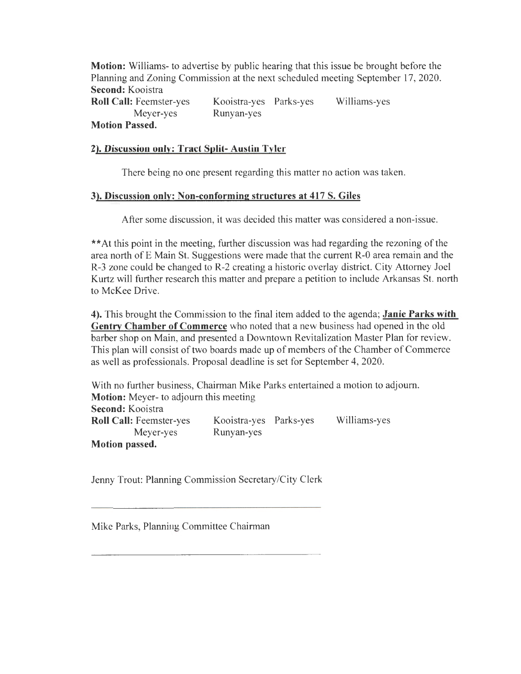**Motion:** Williams- to advertise by public hearing that this issue be brought before the Planning and Zoning Commission at the next scheduled meeting September 17, 2020. **Second:** Kooistra

**Roll Call:** Feemster-yes Meyer-yes **Motion Passed.**  Kooistra-yes Parks-yes Runyan-yes Williams-yes

#### **2). Discussion only: Tract Split- Austin Tyler**

There being no one present regarding this matter no action was taken.

#### **3). Discussion only: Non-conforming structures at 417 S. Giles**

After some discussion, it was decided this matter was considered a non-issue.

\*\*At this point in the meeting, further discussion was had regarding the rezoning of the area north of E Main St. Suggestions were made that the current R-0 area remain and the R-3 zone could be changed to R-2 creating a historic overlay district. City Attorney Joel Kurtz will further research this matter and prepare a petition to include Arkansas St. north to McKee Drive.

**4).** This brought the Commission to the final item added to the agenda; **Janie Parks with Gentry Chamber of Commerce** who noted that a new business had opened in the old barber shop on Main, and presented a Downtown Revitalization Master Plan for review. This plan will consist of two boards made up of members of the Chamber of Commerce as well as professionals. Proposal deadline is set for September 4, 2020.

With no further business, Chairman Mike Parks entertained a motion to adjourn. **Motion:** Meyer- to adjourn this meeting **Second:** Kooistra **Roll Call:** Feemster-yes Meyer-yes **Motion passed.**  Kooistra-yes Parks-yes Runyan-yes Williams-yes

Jenny Trout: Planning Commission Secretary/City Clerk

Mike Parks, Planning Committee Chairman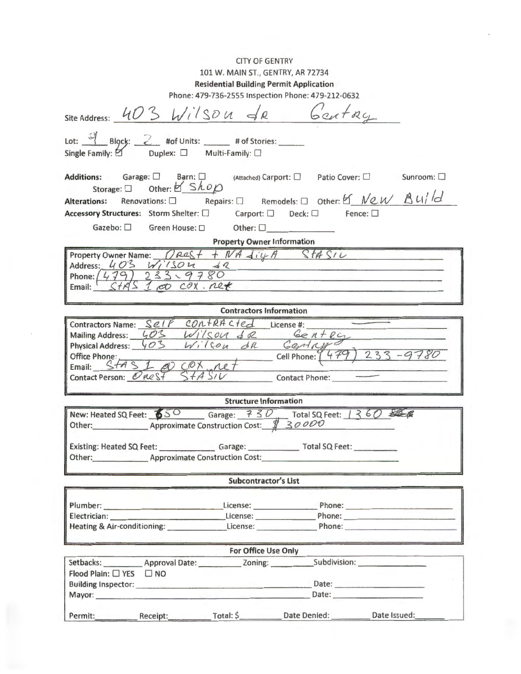#### CITY OF GENTRY

## 101 W. MAIN ST., GENTRY, AR 72734

### Residential Building Permit Application

| Phone: 479-736-2555 Inspection Phone: 479-212-0632                                                                                                                                                                             |  |  |  |  |  |  |
|--------------------------------------------------------------------------------------------------------------------------------------------------------------------------------------------------------------------------------|--|--|--|--|--|--|
| site Address: 403 Wilson de Gentay                                                                                                                                                                                             |  |  |  |  |  |  |
|                                                                                                                                                                                                                                |  |  |  |  |  |  |
|                                                                                                                                                                                                                                |  |  |  |  |  |  |
| Lot: $\frac{1}{2}$ Block: 2 #of Units: $\frac{1}{2}$ # of Stories:                                                                                                                                                             |  |  |  |  |  |  |
| Single Family: $\Box$ Duplex: $\Box$ Multi-Family: $\Box$                                                                                                                                                                      |  |  |  |  |  |  |
|                                                                                                                                                                                                                                |  |  |  |  |  |  |
| Additions: Garage: □ Barn: □ (Attached) Carport: □ Patio Cover: □ Sunroom: □                                                                                                                                                   |  |  |  |  |  |  |
| Storage: $\Box$ Other: $\Box$ Shop                                                                                                                                                                                             |  |  |  |  |  |  |
| Alterations: Renovations: $\Box$ Repairs: $\Box$ Remodels: $\Box$ Other: $\Box$ New $\Box$ U/d                                                                                                                                 |  |  |  |  |  |  |
| Accessory Structures: Storm Shelter: □ Carport: □ Deck: □ Fence: □                                                                                                                                                             |  |  |  |  |  |  |
|                                                                                                                                                                                                                                |  |  |  |  |  |  |
| <b>Property Owner Information</b>                                                                                                                                                                                              |  |  |  |  |  |  |
| Property Owner Name: $O$ Ras + + N/A $div$ A Stat SIL                                                                                                                                                                          |  |  |  |  |  |  |
| Address: $403 Wi/1504 42$<br>the contract of the contract of the contract of the contract of the contract of                                                                                                                   |  |  |  |  |  |  |
|                                                                                                                                                                                                                                |  |  |  |  |  |  |
|                                                                                                                                                                                                                                |  |  |  |  |  |  |
|                                                                                                                                                                                                                                |  |  |  |  |  |  |
| <b>Contractors Information</b>                                                                                                                                                                                                 |  |  |  |  |  |  |
| Contractors Name: Self CONTRACTEd License #:                                                                                                                                                                                   |  |  |  |  |  |  |
|                                                                                                                                                                                                                                |  |  |  |  |  |  |
| Mailing Address: 403 Wilson & 2 Gentery<br>Physical Address: 403 Wilson & 2 Gentery<br>Office Phone: Cell Phone: (479) 233-9780                                                                                                |  |  |  |  |  |  |
|                                                                                                                                                                                                                                |  |  |  |  |  |  |
|                                                                                                                                                                                                                                |  |  |  |  |  |  |
|                                                                                                                                                                                                                                |  |  |  |  |  |  |
|                                                                                                                                                                                                                                |  |  |  |  |  |  |
| <b>Structure Information</b>                                                                                                                                                                                                   |  |  |  |  |  |  |
| New: Heated SQ Feet: $\frac{650}{90}$ Garage: $\frac{750}{90}$ Total SQ Feet: $1360$ SO                                                                                                                                        |  |  |  |  |  |  |
|                                                                                                                                                                                                                                |  |  |  |  |  |  |
| Existing: Heated SQ Feet: Garage: Carage: Total SQ Feet: Carage: Total SQ Feet:                                                                                                                                                |  |  |  |  |  |  |
| Other: Approximate Construction Cost:                                                                                                                                                                                          |  |  |  |  |  |  |
|                                                                                                                                                                                                                                |  |  |  |  |  |  |
| <b>Subcontractor's List</b>                                                                                                                                                                                                    |  |  |  |  |  |  |
|                                                                                                                                                                                                                                |  |  |  |  |  |  |
| License: $\qquad \qquad$<br>Phone:                                                                                                                                                                                             |  |  |  |  |  |  |
| Phone: New York Phone:<br>Electrician: Electrician:                                                                                                                                                                            |  |  |  |  |  |  |
| License: Phone: Phone:<br>Heating & Air-conditioning:                                                                                                                                                                          |  |  |  |  |  |  |
|                                                                                                                                                                                                                                |  |  |  |  |  |  |
| <b>For Office Use Only</b>                                                                                                                                                                                                     |  |  |  |  |  |  |
| Subdivision: <b>Called Called Calledon Calledon Called Called Called Called Called Called Called Called </b><br>Setbacks: Approval Date: Zoning:                                                                               |  |  |  |  |  |  |
| Flood Plain: □ YES □ NO                                                                                                                                                                                                        |  |  |  |  |  |  |
| Building Inspector: Date: Date: Date: Date: Date: Date: Date: Date: Date: Date: Date: Date: Date: Date: Date: Date: Date: Date: Date: Date: Date: Date: Date: Date: Date: Date: Date: Date: Date: Date: Date: Date: Date: Date |  |  |  |  |  |  |
| Mayor: New York State Assessment and the Contract of the Contract of the Contract of the Contract of the Contract of the Contract of the Contract of the Contract of the Contract of the Contract of the Contract of the Contr |  |  |  |  |  |  |
|                                                                                                                                                                                                                                |  |  |  |  |  |  |
| Date Issued:<br>Date Denied:<br>Total: \$<br>Receipt:<br>Permit:                                                                                                                                                               |  |  |  |  |  |  |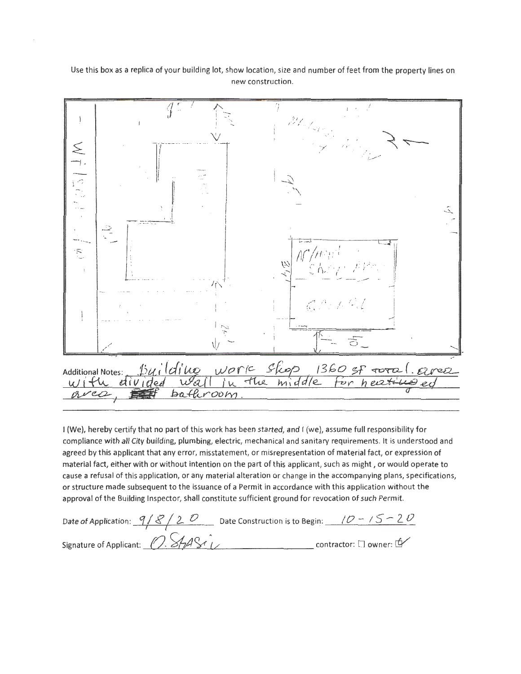Use this box as a replica of your building lot, show location, size and number of feet from the property lines on new construction.



I (We), hereby certify that no part of this work has been started, and I (we), assume full responsibility for compliance with all City building, plumbing, electric, mechanical and sanitary requirements. It is understood and agreed by this applicant that any error, misstatement, or misrepresentation of material fact, or expression of material fact, either with or without intention on the part of this applicant, such as might , or would operate to cause a refusal of this application, or any material alteration or change in the accompanying plans, specifications, or structure made subsequent to the issuance of a Permit in accordance with this application without the approval of the Building Inspector, shall constitute sufficient ground for revocation of such Permit.

| Date of Application: $9/8/20$     | Date Construction is to Begin: $10 - 15 - 20$ |                            |
|-----------------------------------|-----------------------------------------------|----------------------------|
| Signature of Applicant: 0. StyASi |                                               | contractor: [ ] owner: [2] |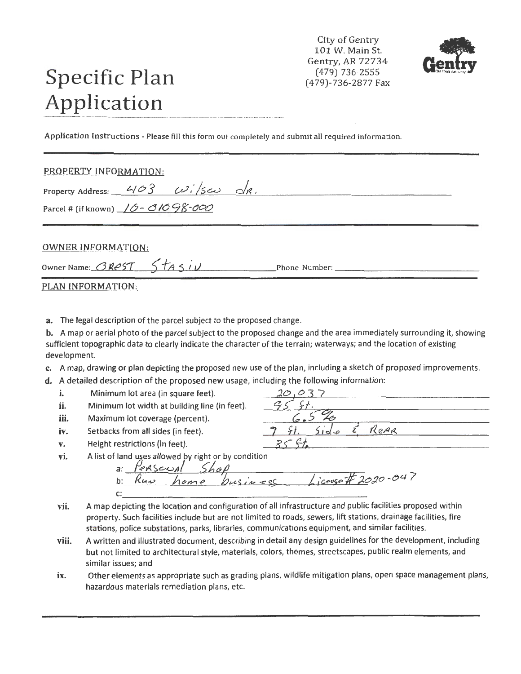City of Gentry 101 W. Main St. Gentry, AR 72734 (479)-736-2555 (479)-736-2877 Fax



# **Specific. Plan Application**

Application Instructions - Please fill this form out completely and submit all required information.

#### PROPERTY INFORMATION:

| PROPERTY INFORMATION:                               |  |  |  |  |
|-----------------------------------------------------|--|--|--|--|
| Property Address: $403$ $\omega$ , See $\Delta R$ . |  |  |  |  |

Parcel # (if known)  $/0 - 0.0698 - 000$ 

#### OWNER INFORMATION:

Owner Name:  $\overline{GRPST}$   $\overline{ST}$   $\overline{ST}$   $\overline{S}$   $\overline{t}$   $\overline{r}$   $\overline{r}$  Phone Number:

|  |  |  | PLAN INFORMATION: |  |
|--|--|--|-------------------|--|
|  |  |  |                   |  |

a. The legal description of the parcel subject to the proposed change.

**b.** A map or aerial photo of the parcel subject to the proposed change and the area immediately surrounding it, showing sufficient topographic data to clearly indicate the character of the terrain; waterways; and the location of existing development.

- c. A map, drawing or plan depicting the proposed new use of the plan, including a sketch of proposed improvements.
- **d.** A detailed description of the proposed new usage, including the following information:<br>**i.** Minimum lot area (in square feet). <u>20, 0-3-7</u>
	-
	-
	- Maximum lot coverage (percent).
	-
	- **v. Height restrictions (in feet).**  $35 \text{ } 51$

**i.** Minimum lot area (in square feet).  $\frac{20,037}{5}$ .<br> **ii.** Minimum lot width at building line (in feet).  $\frac{95}{5}$ .<br> **iii.** Maximum lot coverage (percent).  $\frac{6}{5}$ iv. Setbacks from all sides (in feet). **7** *ft.*  $5id_e$  **E** ReAR

vi. A list of land uses allowed by right or by condition

a: Perscual Shop<br>b: *Ruu home business License#20*<br>c:

- **vii.** A map depicting the location and configuration of all infrastructure and public facilities proposed within property. Such facilities include but are not limited to roads, sewers, lift stations, drainage facilities, fire stations, police substations, parks, libraries, communications equipment, and similar facilities.
- **viii.** A written and illustrated document, describing in detail any design guidelines for the development, including but not limited to architectural style, materials, colors, themes, streetscapes, public realm elements, and similar issues; and
- ix. Other elements as appropriate such as grading plans, wildlife mitigation plans, open space management plans, hazardous materials remediation plans, etc.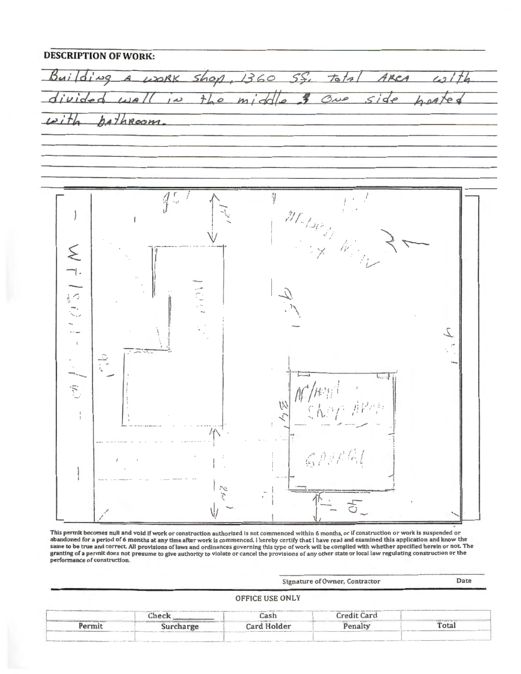$Bui/di$  $\frac{1}{6}$  $shop,$  $1360$ WORK SS. ARCA  $\overline{10}$  $the midde$ ONe side  $h.aA$  $\overline{\omega}$ hathroom



This permit becomes nuli and void if work or construction authorized is not commenced within 6 months, or if construction or work is suspended or abandoned for a period of 6 months at any time after work is commenced. I hereby certify that I have read and examined this application and know the same to be true and correct. All provisions of laws and ordinances governing this type of work will be complied with whether specified herein or not. The granting of a permit does not presume to give authority to violate o performance of construction.

Signature of Owner, Contractor **OFFICE USE ONLY Credit Card** Cash Check Permit Card Holder Penalty Total Surcharge

Date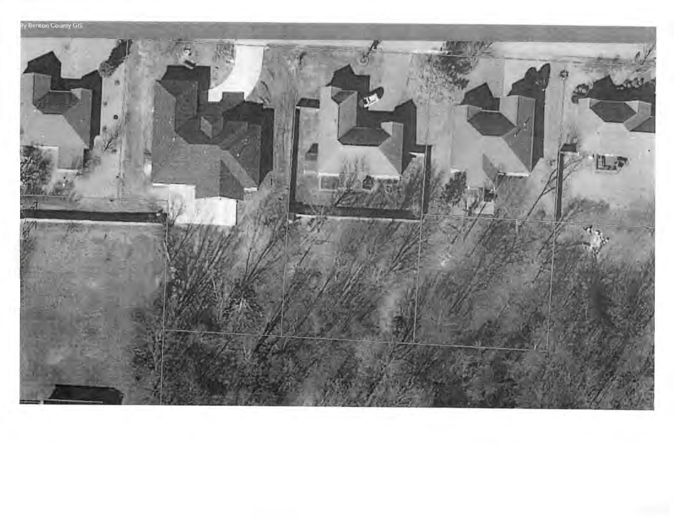